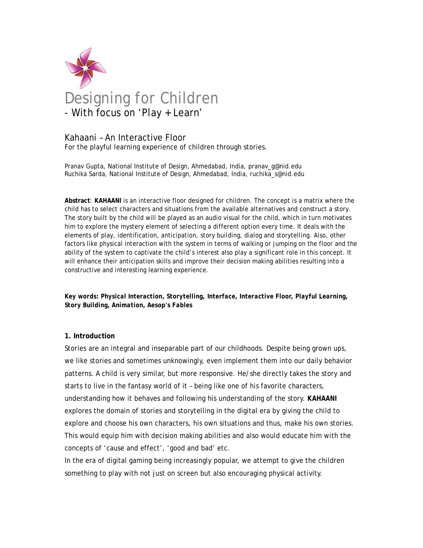

# Kahaani – An Interactive Floor

For the playful learning experience of children through stories.

Pranav Gupta, National Institute of Design, Ahmedabad, India, pranav\_g@nid.edu Ruchika Sarda, National Institute of Design, Ahmedabad, India, ruchika\_s@nid.edu

**Abstract**: *KAHAANI* is an interactive floor designed for children. The concept is a matrix where the child has to select characters and situations from the available alternatives and construct a story. The story built by the child will be played as an audio visual for the child, which in turn motivates him to explore the mystery element of selecting a different option every time. It deals with the elements of play, identification, anticipation, story building, dialog and storytelling. Also, other factors like physical interaction with the system in terms of walking or jumping on the floor and the ability of the system to captivate the child's interest also play a significant role in this concept. It will enhance their anticipation skills and improve their decision making abilities resulting into a constructive and interesting learning experience.

*Key words: Physical Interaction, Storytelling, Interface, Interactive Floor, Playful Learning, Story Building, Animation, Aesop's Fables* 

#### **1. Introduction**

Stories are an integral and inseparable part of our childhoods. Despite being grown ups, we like stories and sometimes unknowingly, even implement them into our daily behavior patterns. A child is very similar, but more responsive. He/she directly takes the story and starts to live in the fantasy world of it – being like one of his favorite characters, understanding how it behaves and following his understanding of the story. *KAHAANI* explores the domain of stories and storytelling in the digital era by giving the child to explore and choose his own characters, his own situations and thus, make his own stories. This would equip him with decision making abilities and also would educate him with the concepts of 'cause and effect', 'good and bad' etc.

In the era of digital gaming being increasingly popular, we attempt to give the children something to play with not just on screen but also encouraging physical activity.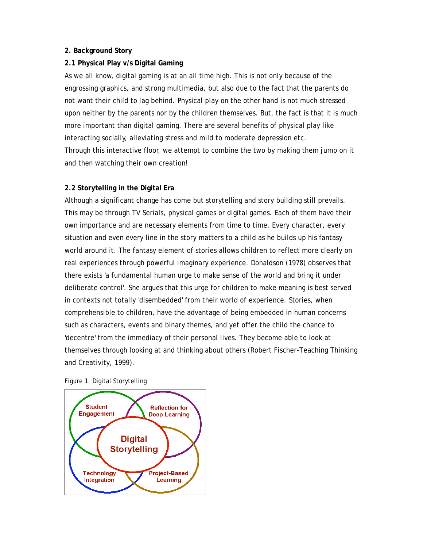#### **2. Background Story**

## **2.1 Physical Play v/s Digital Gaming**

As we all know, digital gaming is at an all time high. This is not only because of the engrossing graphics, and strong multimedia, but also due to the fact that the parents do not want their child to lag behind. Physical play on the other hand is not much stressed upon neither by the parents nor by the children themselves. But, the fact is that it is much more important than digital gaming. There are several benefits of physical play like interacting socially, alleviating stress and mild to moderate depression etc. Through this interactive floor, we attempt to combine the two by making them jump on it and then watching their own creation!

## **2.2 Storytelling in the Digital Era**

Although a significant change has come but storytelling and story building still prevails. This may be through TV Serials, physical games or digital games. Each of them have their own importance and are necessary elements from time to time. Every character, every situation and even every line in the story matters to a child as he builds up his fantasy world around it. The fantasy element of stories allows children to reflect more clearly on real experiences through powerful imaginary experience. Donaldson (1978) observes that there exists 'a fundamental human urge to make sense of the world and bring it under deliberate control'. She argues that this urge for children to make meaning is best served in contexts not totally 'disembedded' from their world of experience. Stories, when comprehensible to children, have the advantage of being embedded in human concerns such as characters, events and binary themes, and yet offer the child the chance to 'decentre' from the immediacy of their personal lives. They become able to look at themselves through looking at and thinking about others (Robert Fischer-Teaching Thinking and Creativity, 1999).



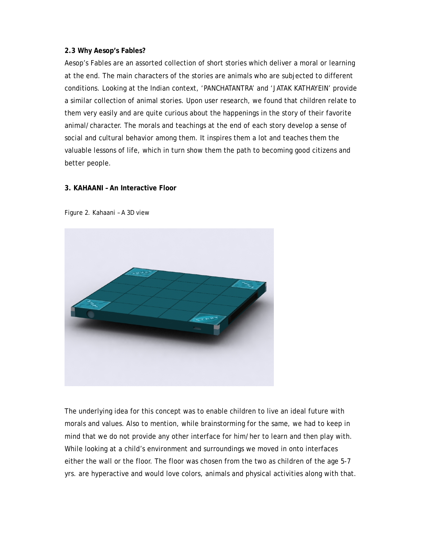#### **2.3 Why Aesop's Fables?**

Aesop's Fables are an assorted collection of short stories which deliver a moral or learning at the end. The main characters of the stories are animals who are subjected to different conditions. Looking at the Indian context, 'PANCHATANTRA' and 'JATAK KATHAYEIN' provide a similar collection of animal stories. Upon user research, we found that children relate to them very easily and are quite curious about the happenings in the story of their favorite animal/character. The morals and teachings at the end of each story develop a sense of social and cultural behavior among them. It inspires them a lot and teaches them the valuable lessons of life, which in turn show them the path to becoming good citizens and better people.

## **3. KAHAANI – An Interactive Floor**





The underlying idea for this concept was to enable children to live an ideal future with morals and values. Also to mention, while brainstorming for the same, we had to keep in mind that we do not provide any other interface for him/her to learn and then play with. While looking at a child's environment and surroundings we moved in onto interfaces either the wall or the floor. The floor was chosen from the two as children of the age 5-7 yrs. are hyperactive and would love colors, animals and physical activities along with that.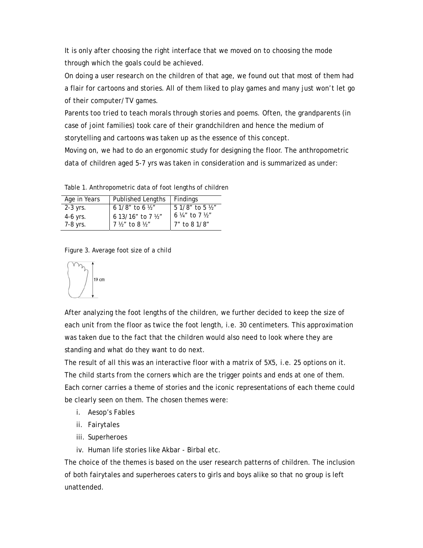It is only after choosing the right interface that we moved on to choosing the mode through which the goals could be achieved.

On doing a user research on the children of that age, we found out that most of them had a flair for cartoons and stories. All of them liked to play games and many just won't let go of their computer/TV games.

Parents too tried to teach morals through stories and poems. Often, the grandparents (in case of joint families) took care of their grandchildren and hence the medium of storytelling and cartoons was taken up as the essence of this concept.

Moving on, we had to do an ergonomic study for designing the floor. The anthropometric data of children aged 5-7 yrs was taken in consideration and is summarized as under:

Table 1. Anthropometric data of foot lengths of children

| Age in Years | Published Lengths                  | Findings                                                                                                        |
|--------------|------------------------------------|-----------------------------------------------------------------------------------------------------------------|
| $2-3$ yrs.   | 6 1/8" to 6 1/2"                   | $\frac{5 \frac{1}{8} \times 1000 \text{ J} \cdot \text{K}}{6 \frac{1}{4} \times 1000 \text{ J} \cdot \text{K}}$ |
| $4-6$ yrs.   | $613/16"$ to 7 $\frac{1}{2}$       |                                                                                                                 |
| 7-8 yrs.     | $7 \frac{1}{2}$ to 8 $\frac{1}{2}$ | 7" to 8 1/8"                                                                                                    |

Figure 3. Average foot size of a child



After analyzing the foot lengths of the children, we further decided to keep the size of each unit from the floor as twice the foot length, i.e. 30 centimeters. This approximation was taken due to the fact that the children would also need to look where they are standing and what do they want to do next.

The result of all this was an interactive floor with a matrix of 5X5, i.e. 25 options on it. The child starts from the corners which are the trigger points and ends at one of them. Each corner carries a theme of stories and the iconic representations of each theme could be clearly seen on them. The chosen themes were:

- i. Aesop's Fables
- ii. Fairytales
- iii. Superheroes
- iv. Human life stories like Akbar Birbal etc.

The choice of the themes is based on the user research patterns of children. The inclusion of both fairytales and superheroes caters to girls and boys alike so that no group is left unattended.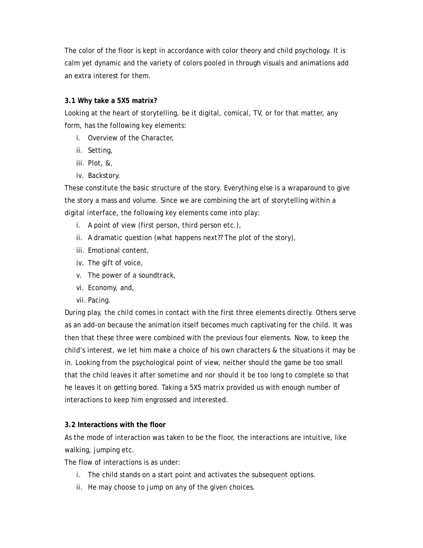The color of the floor is kept in accordance with color theory and child psychology. It is calm yet dynamic and the variety of colors pooled in through visuals and animations add an extra interest for them.

## **3.1 Why take a 5X5 matrix?**

Looking at the heart of storytelling, be it digital, comical, TV, or for that matter, any form, has the following key elements:

- i. Overview of the Character,
- ii. Setting,
- iii. Plot, &,
- iv. Backstory.

These constitute the basic structure of the story. Everything else is a wraparound to give the story a mass and volume. Since we are combining the art of storytelling within a digital interface, the following key elements come into play:

- i. A point of view (first person, third person etc.),
- ii. A dramatic question (what happens next?? The plot of the story),
- iii. Emotional content,
- iv. The gift of voice,
- v. The power of a soundtrack,
- vi. Economy, and,
- vii. Pacing.

During play, the child comes in contact with the first three elements directly. Others serve as an add-on because the animation itself becomes much captivating for the child. It was then that these three were combined with the previous four elements. Now, to keep the child's interest, we let him make a choice of his own characters & the situations it may be in. Looking from the psychological point of view, neither should the game be too small that the child leaves it after sometime and nor should it be too long to complete so that he leaves it on getting bored. Taking a 5X5 matrix provided us with enough number of interactions to keep him engrossed and interested.

#### **3.2 Interactions with the floor**

As the mode of interaction was taken to be the floor, the interactions are intuitive, like walking, jumping etc.

The flow of interactions is as under:

- i. The child stands on a start point and activates the subsequent options.
- ii. He may choose to jump on any of the given choices.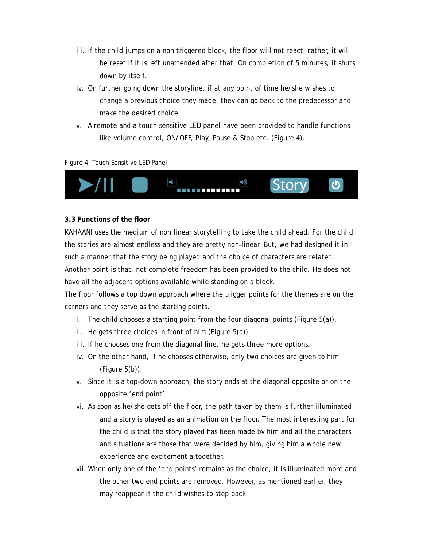- iii. If the child jumps on a non triggered block, the floor will not react, rather, it will be reset if it is left unattended after that. On completion of 5 minutes, it shuts down by itself.
- iv. On further going down the storyline, if at any point of time he/she wishes to change a previous choice they made, they can go back to the predecessor and make the desired choice.
- v. A remote and a touch sensitive LED panel have been provided to handle functions like volume control, ON/OFF, Play, Pause & Stop etc. (Figure 4).

Figure 4. Touch Sensitive LED Panel



#### **3.3 Functions of the floor**

KAHAANI uses the medium of non linear storytelling to take the child ahead. For the child, the stories are almost endless and they are pretty non-linear. But, we had designed it in such a manner that the story being played and the choice of characters are related. Another point is that, not complete freedom has been provided to the child. He does not have all the adjacent options available while standing on a block.

The floor follows a top down approach where the trigger points for the themes are on the corners and they serve as the starting points.

- i. The child chooses a starting point from the four diagonal points (Figure 5(a)).
- ii. He gets three choices in front of him (Figure 5(a)).
- iii. If he chooses one from the diagonal line, he gets three more options.
- iv. On the other hand, if he chooses otherwise, only two choices are given to him (Figure 5(b)).
- v. Since it is a top-down approach, the story ends at the diagonal opposite or on the opposite 'end point'.
- vi. As soon as he/she gets off the floor, the path taken by them is further illuminated and a story is played as an animation on the floor. The most interesting part for the child is that the story played has been made by him and all the characters and situations are those that were decided by him, giving him a whole new experience and excitement altogether.
- vii. When only one of the 'end points' remains as the choice, it is illuminated more and the other two end points are removed. However, as mentioned earlier, they may reappear if the child wishes to step back.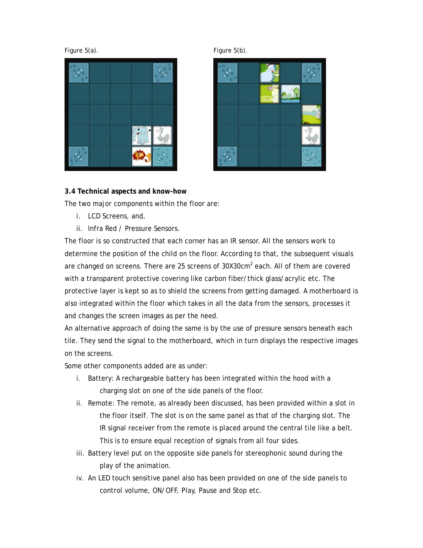





## **3.4 Technical aspects and know-how**

The two major components within the floor are:

- i. LCD Screens, and,
- ii. Infra Red / Pressure Sensors.

The floor is so constructed that each corner has an IR sensor. All the sensors work to determine the position of the child on the floor. According to that, the subsequent visuals are changed on screens. There are 25 screens of 30X30cm<sup>2</sup> each. All of them are covered with a transparent protective covering like carbon fiber/thick glass/acrylic etc. The protective layer is kept so as to shield the screens from getting damaged. A motherboard is also integrated within the floor which takes in all the data from the sensors, processes it and changes the screen images as per the need.

An alternative approach of doing the same is by the use of pressure sensors beneath each tile. They send the signal to the motherboard, which in turn displays the respective images on the screens.

Some other components added are as under:

- i. Battery: A rechargeable battery has been integrated within the hood with a charging slot on one of the side panels of the floor.
- ii. Remote: The remote, as already been discussed, has been provided within a slot in the floor itself. The slot is on the same panel as that of the charging slot. The IR signal receiver from the remote is placed around the central tile like a belt. This is to ensure equal reception of signals from all four sides.
- iii. Battery level put on the opposite side panels for stereophonic sound during the play of the animation.
- iv. An LED touch sensitive panel also has been provided on one of the side panels to control volume, ON/OFF, Play, Pause and Stop etc.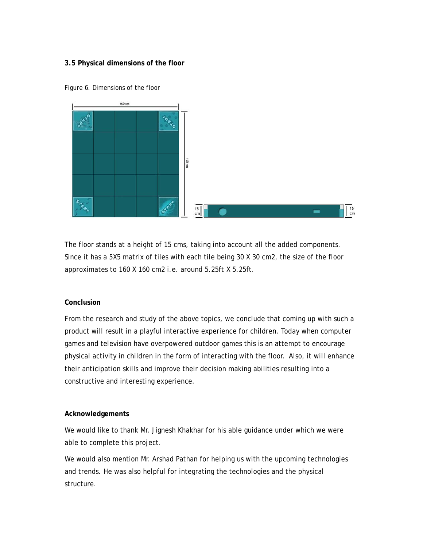## **3.5 Physical dimensions of the floor**



Figure 6. Dimensions of the floor

The floor stands at a height of 15 cms, taking into account all the added components. Since it has a 5X5 matrix of tiles with each tile being 30 X 30 cm2, the size of the floor approximates to 160 X 160 cm2 i.e. around 5.25ft X 5.25ft.

#### **Conclusion**

From the research and study of the above topics, we conclude that coming up with such a product will result in a playful interactive experience for children. Today when computer games and television have overpowered outdoor games this is an attempt to encourage physical activity in children in the form of interacting with the floor. Also, it will enhance their anticipation skills and improve their decision making abilities resulting into a constructive and interesting experience.

#### **Acknowledgements**

We would like to thank Mr. Jignesh Khakhar for his able guidance under which we were able to complete this project.

We would also mention Mr. Arshad Pathan for helping us with the upcoming technologies and trends. He was also helpful for integrating the technologies and the physical structure.